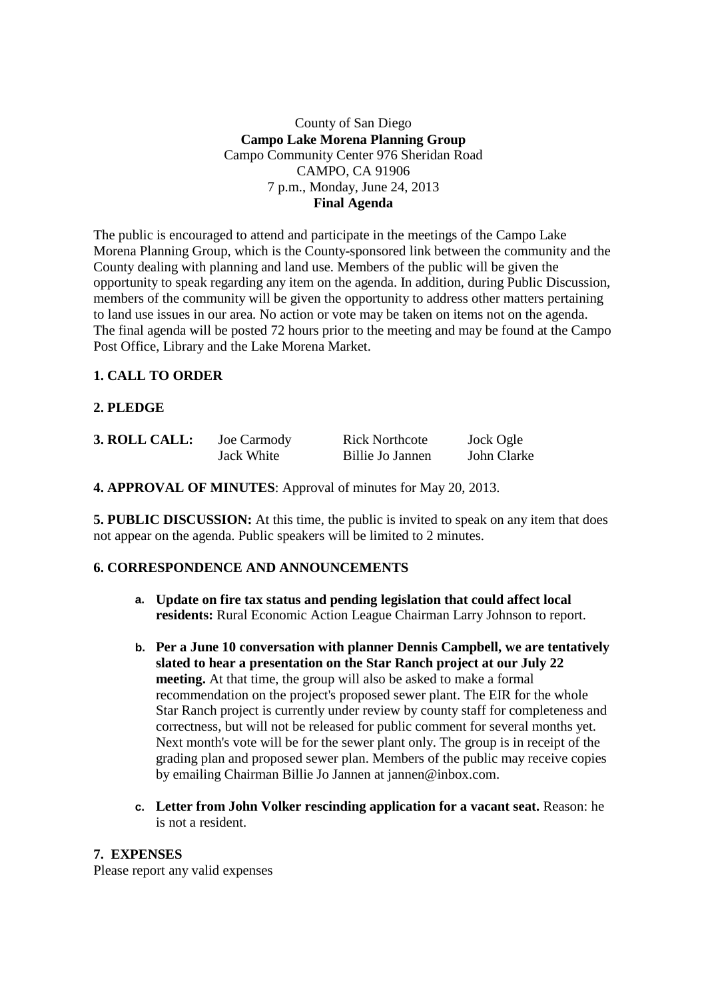### County of San Diego **Campo Lake Morena Planning Group**  Campo Community Center 976 Sheridan Road CAMPO, CA 91906 7 p.m., Monday, June 24, 2013 **Final Agenda**

The public is encouraged to attend and participate in the meetings of the Campo Lake Morena Planning Group, which is the County-sponsored link between the community and the County dealing with planning and land use. Members of the public will be given the opportunity to speak regarding any item on the agenda. In addition, during Public Discussion, members of the community will be given the opportunity to address other matters pertaining to land use issues in our area. No action or vote may be taken on items not on the agenda. The final agenda will be posted 72 hours prior to the meeting and may be found at the Campo Post Office, Library and the Lake Morena Market.

### **1. CALL TO ORDER**

## **2. PLEDGE**

| 3. ROLL CALL: | Joe Carmody | <b>Rick Northcote</b> | Jock Ogle   |
|---------------|-------------|-----------------------|-------------|
|               | Jack White  | Billie Jo Jannen      | John Clarke |

**4. APPROVAL OF MINUTES**: Approval of minutes for May 20, 2013.

**5. PUBLIC DISCUSSION:** At this time, the public is invited to speak on any item that does not appear on the agenda. Public speakers will be limited to 2 minutes.

### **6. CORRESPONDENCE AND ANNOUNCEMENTS**

- **a. Update on fire tax status and pending legislation that could affect local residents:** Rural Economic Action League Chairman Larry Johnson to report.
- **b. Per a June 10 conversation with planner Dennis Campbell, we are tentatively slated to hear a presentation on the Star Ranch project at our July 22 meeting.** At that time, the group will also be asked to make a formal recommendation on the project's proposed sewer plant. The EIR for the whole Star Ranch project is currently under review by county staff for completeness and correctness, but will not be released for public comment for several months yet. Next month's vote will be for the sewer plant only. The group is in receipt of the grading plan and proposed sewer plan. Members of the public may receive copies by emailing Chairman Billie Jo Jannen at jannen@inbox.com.
- **c. Letter from John Volker rescinding application for a vacant seat.** Reason: he is not a resident.

### **7. EXPENSES**

Please report any valid expenses